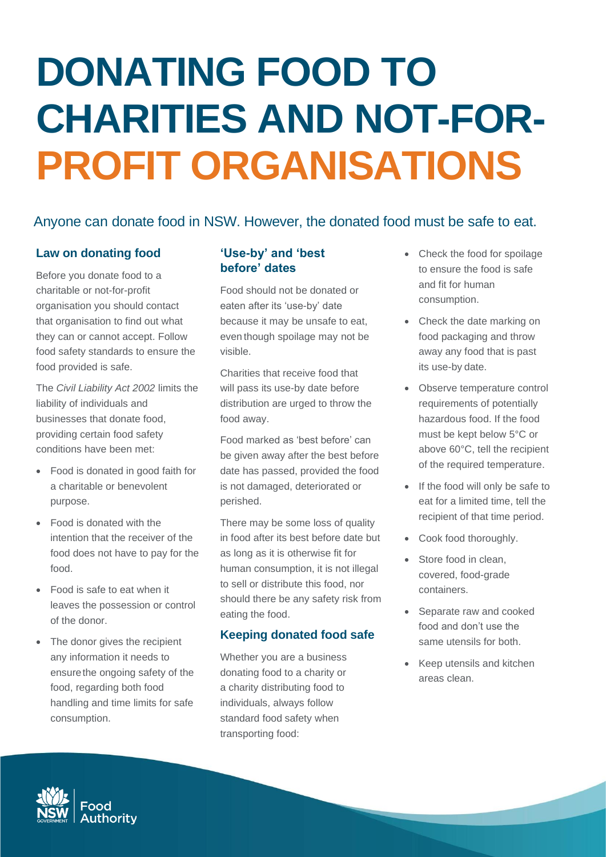# **DONATING FOOD TO CHARITIES AND NOT-FOR-PROFIT ORGANISATIONS**

# Anyone can donate food in NSW. However, the donated food must be safe to eat.

## **Law on donating food**

Before you donate food to a charitable or not-for-profit organisation you should contact that organisation to find out what they can or cannot accept. Follow food safety standards to ensure the food provided is safe.

The *Civil Liability Act 2002* limits the liability of individuals and businesses that donate food, providing certain food safety conditions have been met:

- Food is donated in good faith for a charitable or benevolent purpose.
- Food is donated with the intention that the receiver of the food does not have to pay for the food.
- Food is safe to eat when it leaves the possession or control of the donor.
- The donor gives the recipient any information it needs to ensurethe ongoing safety of the food, regarding both food handling and time limits for safe consumption.

## **'Use-by' and 'best before' dates**

Food should not be donated or eaten after its 'use-by' date because it may be unsafe to eat, even though spoilage may not be visible.

Charities that receive food that will pass its use-by date before distribution are urged to throw the food away.

Food marked as 'best before' can be given away after the best before date has passed, provided the food is not damaged, deteriorated or perished.

There may be some loss of quality in food after its best before date but as long as it is otherwise fit for human consumption, it is not illegal to sell or distribute this food, nor should there be any safety risk from eating the food.

#### **Keeping donated food safe**

Whether you are a business donating food to a charity or a charity distributing food to individuals, always follow standard food safety when transporting food:

- Check the food for spoilage to ensure the food is safe and fit for human consumption.
- Check the date marking on food packaging and throw away any food that is past its use-by date.
- Observe temperature control requirements of potentially hazardous food. If the food must be kept below 5°C or above 60°C, tell the recipient of the required temperature.
- If the food will only be safe to eat for a limited time, tell the recipient of that time period.
- Cook food thoroughly.
- Store food in clean, covered, food-grade containers.
- Separate raw and cooked food and don't use the same utensils for both.
- Keep utensils and kitchen areas clean.